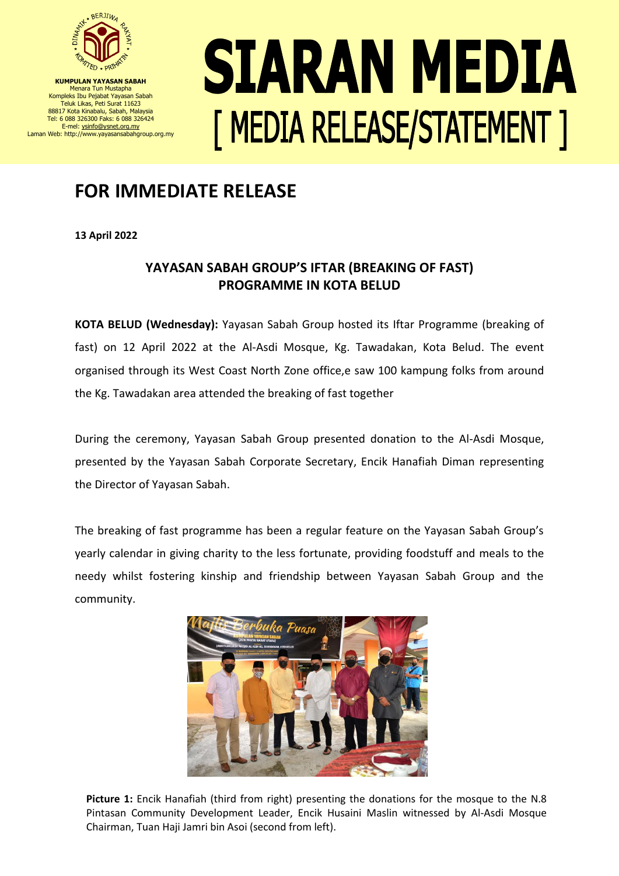

**KUMPULAN YAYASAN SABAH** Menara Tun Mustapha Kompleks Ibu Pejabat Yayasan Sabah Teluk Likas, Peti Surat 11623 88817 Kota Kinabalu, Sabah, Malaysia Tel: 6 088 326300 Faks: 6 088 326424 E-mel[: ysinfo@ysnet.org.my](mailto:ysinfo@ysnet.org.my) Laman Web: http://www.yayasansabahgroup.org.my

## SIARAN MEDIA [ MEDIA RELEASE/STATEMENT ]

## **FOR IMMEDIATE RELEASE**

**13 April 2022**

## **YAYASAN SABAH GROUP'S IFTAR (BREAKING OF FAST) PROGRAMME IN KOTA BELUD**

**KOTA BELUD (Wednesday):** Yayasan Sabah Group hosted its Iftar Programme (breaking of fast) on 12 April 2022 at the Al-Asdi Mosque, Kg. Tawadakan, Kota Belud. The event organised through its West Coast North Zone office,e saw 100 kampung folks from around the Kg. Tawadakan area attended the breaking of fast together

During the ceremony, Yayasan Sabah Group presented donation to the Al-Asdi Mosque, presented by the Yayasan Sabah Corporate Secretary, Encik Hanafiah Diman representing the Director of Yayasan Sabah.

The breaking of fast programme has been a regular feature on the Yayasan Sabah Group's yearly calendar in giving charity to the less fortunate, providing foodstuff and meals to the needy whilst fostering kinship and friendship between Yayasan Sabah Group and the community.



1 Pintasan Community Development Leader, Encik Husaini Maslin witnessed by Al-Asdi Mosque **Picture 1:** Encik Hanafiah (third from right) presenting the donations for the mosque to the N.8 Chairman, Tuan Haji Jamri bin Asoi (second from left).